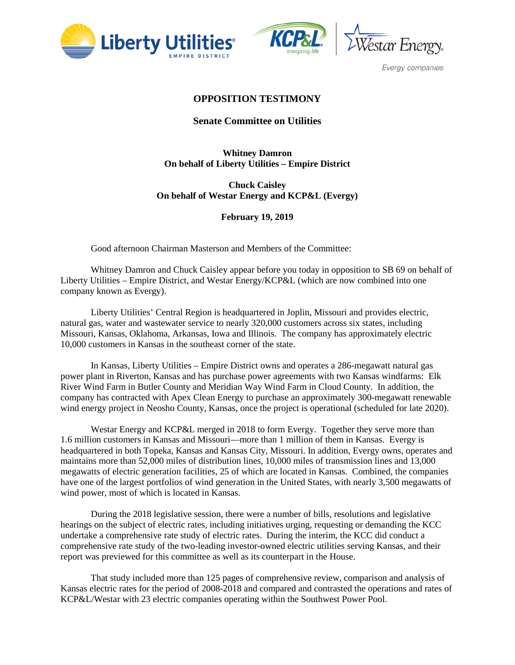





Evergy companies

# **OPPOSITION TESTIMONY**

### **Senate Committee on Utilities**

# **Whitney Damron On behalf of Liberty Utilities – Empire District**

**Chuck Caisley On behalf of Westar Energy and KCP&L (Evergy)**

#### **February 19, 2019**

Good afternoon Chairman Masterson and Members of the Committee:

Whitney Damron and Chuck Caisley appear before you today in opposition to SB 69 on behalf of Liberty Utilities – Empire District, and Westar Energy/KCP&L (which are now combined into one company known as Evergy).

Liberty Utilities' Central Region is headquartered in Joplin, Missouri and provides electric, natural gas, water and wastewater service to nearly 320,000 customers across six states, including Missouri, Kansas, Oklahoma, Arkansas, Iowa and Illinois. The company has approximately electric 10,000 customers in Kansas in the southeast corner of the state.

In Kansas, Liberty Utilities – Empire District owns and operates a 286-megawatt natural gas power plant in Riverton, Kansas and has purchase power agreements with two Kansas windfarms: Elk River Wind Farm in Butler County and Meridian Way Wind Farm in Cloud County. In addition, the company has contracted with Apex Clean Energy to purchase an approximately 300-megawatt renewable wind energy project in Neosho County, Kansas, once the project is operational (scheduled for late 2020).

Westar Energy and KCP&L merged in 2018 to form Evergy. Together they serve more than 1.6 million customers in Kansas and Missouri—more than 1 million of them in Kansas. Evergy is headquartered in both Topeka, Kansas and Kansas City, Missouri. In addition, Evergy owns, operates and maintains more than 52,000 miles of distribution lines, 10,000 miles of transmission lines and 13,000 megawatts of electric generation facilities, 25 of which are located in Kansas. Combined, the companies have one of the largest portfolios of wind generation in the United States, with nearly 3,500 megawatts of wind power, most of which is located in Kansas.

During the 2018 legislative session, there were a number of bills, resolutions and legislative hearings on the subject of electric rates, including initiatives urging, requesting or demanding the KCC undertake a comprehensive rate study of electric rates. During the interim, the KCC did conduct a comprehensive rate study of the two-leading investor-owned electric utilities serving Kansas, and their report was previewed for this committee as well as its counterpart in the House.

That study included more than 125 pages of comprehensive review, comparison and analysis of Kansas electric rates for the period of 2008-2018 and compared and contrasted the operations and rates of KCP&L/Westar with 23 electric companies operating within the Southwest Power Pool.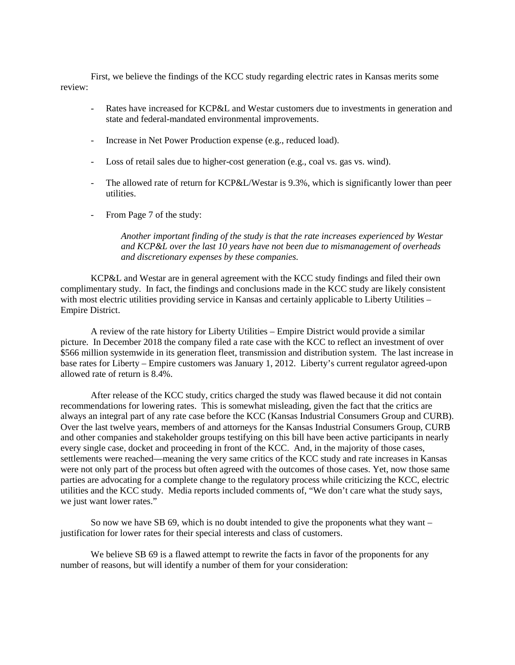First, we believe the findings of the KCC study regarding electric rates in Kansas merits some review:

- Rates have increased for KCP&L and Westar customers due to investments in generation and state and federal-mandated environmental improvements.
- Increase in Net Power Production expense (e.g., reduced load).
- Loss of retail sales due to higher-cost generation (e.g., coal vs. gas vs. wind).
- The allowed rate of return for KCP&L/Westar is 9.3%, which is significantly lower than peer utilities.
- From Page 7 of the study:

*Another important finding of the study is that the rate increases experienced by Westar and KCP&L over the last 10 years have not been due to mismanagement of overheads and discretionary expenses by these companies.*

KCP&L and Westar are in general agreement with the KCC study findings and filed their own complimentary study. In fact, the findings and conclusions made in the KCC study are likely consistent with most electric utilities providing service in Kansas and certainly applicable to Liberty Utilities – Empire District.

A review of the rate history for Liberty Utilities – Empire District would provide a similar picture. In December 2018 the company filed a rate case with the KCC to reflect an investment of over \$566 million systemwide in its generation fleet, transmission and distribution system. The last increase in base rates for Liberty – Empire customers was January 1, 2012. Liberty's current regulator agreed-upon allowed rate of return is 8.4%.

After release of the KCC study, critics charged the study was flawed because it did not contain recommendations for lowering rates. This is somewhat misleading, given the fact that the critics are always an integral part of any rate case before the KCC (Kansas Industrial Consumers Group and CURB). Over the last twelve years, members of and attorneys for the Kansas Industrial Consumers Group, CURB and other companies and stakeholder groups testifying on this bill have been active participants in nearly every single case, docket and proceeding in front of the KCC. And, in the majority of those cases, settlements were reached—meaning the very same critics of the KCC study and rate increases in Kansas were not only part of the process but often agreed with the outcomes of those cases. Yet, now those same parties are advocating for a complete change to the regulatory process while criticizing the KCC, electric utilities and the KCC study. Media reports included comments of, "We don't care what the study says, we just want lower rates."

So now we have SB 69, which is no doubt intended to give the proponents what they want – justification for lower rates for their special interests and class of customers.

We believe SB 69 is a flawed attempt to rewrite the facts in favor of the proponents for any number of reasons, but will identify a number of them for your consideration: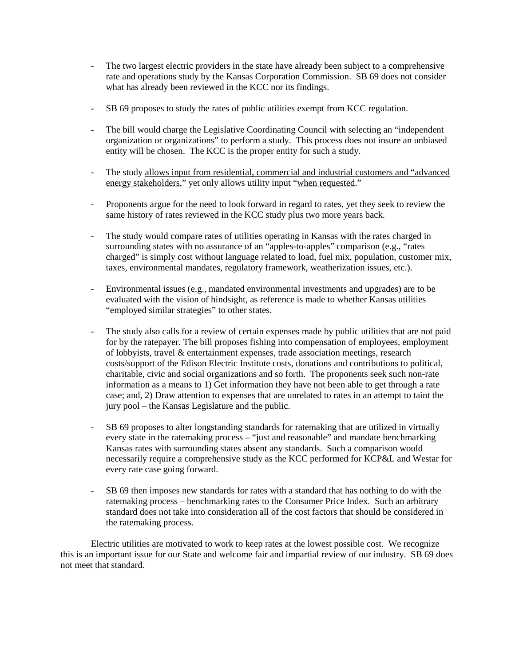- The two largest electric providers in the state have already been subject to a comprehensive rate and operations study by the Kansas Corporation Commission. SB 69 does not consider what has already been reviewed in the KCC nor its findings.
- SB 69 proposes to study the rates of public utilities exempt from KCC regulation.
- The bill would charge the Legislative Coordinating Council with selecting an "independent organization or organizations" to perform a study. This process does not insure an unbiased entity will be chosen. The KCC is the proper entity for such a study.
- The study allows input from residential, commercial and industrial customers and "advanced energy stakeholders," yet only allows utility input "when requested."
- Proponents argue for the need to look forward in regard to rates, yet they seek to review the same history of rates reviewed in the KCC study plus two more years back.
- The study would compare rates of utilities operating in Kansas with the rates charged in surrounding states with no assurance of an "apples-to-apples" comparison (e.g., "rates charged" is simply cost without language related to load, fuel mix, population, customer mix, taxes, environmental mandates, regulatory framework, weatherization issues, etc.).
- Environmental issues (e.g., mandated environmental investments and upgrades) are to be evaluated with the vision of hindsight, as reference is made to whether Kansas utilities "employed similar strategies" to other states.
- The study also calls for a review of certain expenses made by public utilities that are not paid for by the ratepayer. The bill proposes fishing into compensation of employees, employment of lobbyists, travel & entertainment expenses, trade association meetings, research costs/support of the Edison Electric Institute costs, donations and contributions to political, charitable, civic and social organizations and so forth. The proponents seek such non-rate information as a means to 1) Get information they have not been able to get through a rate case; and, 2) Draw attention to expenses that are unrelated to rates in an attempt to taint the jury pool – the Kansas Legislature and the public.
- SB 69 proposes to alter longstanding standards for ratemaking that are utilized in virtually every state in the ratemaking process – "just and reasonable" and mandate benchmarking Kansas rates with surrounding states absent any standards. Such a comparison would necessarily require a comprehensive study as the KCC performed for KCP&L and Westar for every rate case going forward.
- SB 69 then imposes new standards for rates with a standard that has nothing to do with the ratemaking process – benchmarking rates to the Consumer Price Index. Such an arbitrary standard does not take into consideration all of the cost factors that should be considered in the ratemaking process.

Electric utilities are motivated to work to keep rates at the lowest possible cost. We recognize this is an important issue for our State and welcome fair and impartial review of our industry. SB 69 does not meet that standard.